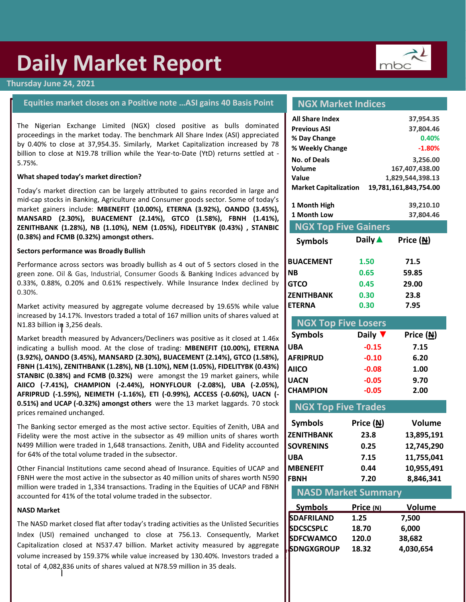# **Daily Market Report**

#### **Thursday June 24, 2021**

#### **Equities market closes on a Positive note …ASI gains 40 Basis Point**

proceedings in the market today. The benchmark All Share Index (ASI) appreciated The Nigerian Exchange Limited (NGX) closed positive as bulls dominated by 0.40% to close at 37,954.35. Similarly, Market Capitalization increased by 78 billion to close at N19.78 trillion while the Year-to-Date (YtD) returns settled at - 5.75%.

#### **What shaped today's market direction?**

Today's market direction can be largely attributed to gains recorded in large and mid-cap stocks in Banking, Agriculture and Consumer goods sector. Some of today's market gainers include: **MBENEFIT (10.00%), ETERNA (3.92%), OANDO (3.45%), MANSARD (2.30%), BUACEMENT (2.14%), GTCO (1.58%), FBNH (1.41%), ZENITHBANK (1.28%), NB (1.10%), NEM (1.05%), FIDELITYBK (0.43%) , STANBIC (0.38%) and FCMB (0.32%) amongst others.**

#### **Sectors performance was Broadly Bullish**

Performance across sectors was broadly bullish as 4 out of 5 sectors closed in the green zone. Oil & Gas, Industrial, Consumer Goods & Banking Indices advanced by 0.33%, 0.88%, 0.20% and 0.61% respectively. While Insurance Index declined by 0.30%.

Market activity measured by aggregate volume decreased by 19.65% while value increased by 14.17%. Investors traded a total of 167 million units of shares valued at N1.83 billion in 3,256 deals.

Market breadth measured by Advancers/Decliners was positive as it closed at 1.46x indicating a bullish mood. At the close of trading: **MBENEFIT (10.00%), ETERNA (3.92%), OANDO (3.45%), MANSARD (2.30%), BUACEMENT (2.14%), GTCO (1.58%), FBNH (1.41%), ZENITHBANK (1.28%), NB (1.10%), NEM (1.05%), FIDELITYBK (0.43%) STANBIC (0.38%) and FCMB (0.32%)** were amongst the 19 market gainers, while **AIICO (-7.41%), CHAMPION (-2.44%), HONYFLOUR (-2.08%), UBA (-2.05%), AFRIPRUD (-1.59%), NEIMETH (-1.16%), ETI (-0.99%), ACCESS (-0.60%), UACN (- 0.51%) and UCAP (-0.32%) amongst others** were the 13 market laggards. 70 stock prices remained unchanged.

The Banking sector emerged as the most active sector. Equities of Zenith, UBA and Fidelity were the most active in the subsector as 49 million units of shares worth N499 Million were traded in 1,648 transactions. Zenith, UBA and Fidelity accounted for 64% of the total volume traded in the subsector.

Other Financial Institutions came second ahead of Insurance. Equities of UCAP and FBNH were the most active in the subsector as 40 million units of shares worth N590 million were traded in 1,334 transactions. Trading in the Equities of UCAP and FBNH accounted for 41% of the total volume traded in the subsector.

#### **NASD Market**

**[infor@mbcgroup.com.ng](mailto:infor@mbcgroup.com.ng)**

total of 4,082<sub>,</sub>836 units of shares valued at N78.59 million in 35 deals. The NASD market closed flat after today's trading activities as the Unlisted Securities Index (USI) remained unchanged to close at 756.13. Consequently, Market Capitalization closed at N537.47 billion. Market activity measured by aggregate volume increased by 159.37% while value increased by 130.40%. Investors traded a

#### **NGX Market Indices**

| <b>All Share Index</b>       |                        | 37,954.35             |
|------------------------------|------------------------|-----------------------|
| <b>Previous ASI</b>          |                        | 37,804.46             |
| % Day Change                 |                        | 0.40%                 |
| % Weekly Change              |                        | $-1.80%$              |
| <b>No. of Deals</b>          |                        | 3,256.00              |
| Volume                       | 167,407,438.00         |                       |
| Value                        |                        | 1,829,544,398.13      |
| <b>Market Capitalization</b> |                        | 19,781,161,843,754.00 |
|                              |                        |                       |
| 1 Month High                 |                        | 39,210.10             |
| 1 Month Low                  |                        | 37,804.46             |
| <b>NGX Top Five Gainers</b>  |                        |                       |
| <b>Symbols</b>               | Daily $\blacktriangle$ | Price (N)             |
|                              |                        |                       |
| <b>BUACEMENT</b>             | 1.50                   | 71.5                  |
| <b>NB</b>                    | 0.65                   | 59.85                 |
| <b>GTCO</b>                  | 0.45                   | 29.00                 |
| <b>ZENITHBANK</b>            | 0.30                   | 23.8                  |

#### **NGX Top Five Losers**

| <b>Symbols</b>  | Daily $\blacktriangledown$ | Price $(M)$ |
|-----------------|----------------------------|-------------|
| <b>UBA</b>      | $-0.15$                    | 7.15        |
| <b>AFRIPRUD</b> | $-0.10$                    | 6.20        |
| <b>AIICO</b>    | $-0.08$                    | 1.00        |
| <b>UACN</b>     | $-0.05$                    | 9.70        |
| <b>CHAMPION</b> | $-0.05$                    | 2.00        |
|                 |                            |             |

#### **NGX Top Five Trades**

| <b>Symbols</b>    | Price $(M)$ | <b>Volume</b> |
|-------------------|-------------|---------------|
| <b>ZENITHBANK</b> | 23.8        | 13,895,191    |
| <b>SOVRENINS</b>  | 0.25        | 12,745,290    |
| UBA               | 7.15        | 11,755,041    |
| <b>MBENEFIT</b>   | 0.44        | 10,955,491    |
| <b>FBNH</b>       | 7.20        | 8,846,341     |

#### **NASD Market Summary**

| <b>Symbols</b>    | Price (N) | Volume    |
|-------------------|-----------|-----------|
| SDAFRILAND        | 1.25      | 7,500     |
| <b>SDCSCSPLC</b>  | 18.70     | 6,000     |
| <b>SDFCWAMCO</b>  | 120.0     | 38,682    |
| <b>SDNGXGROUP</b> | 18.32     | 4,030,654 |
|                   |           |           |

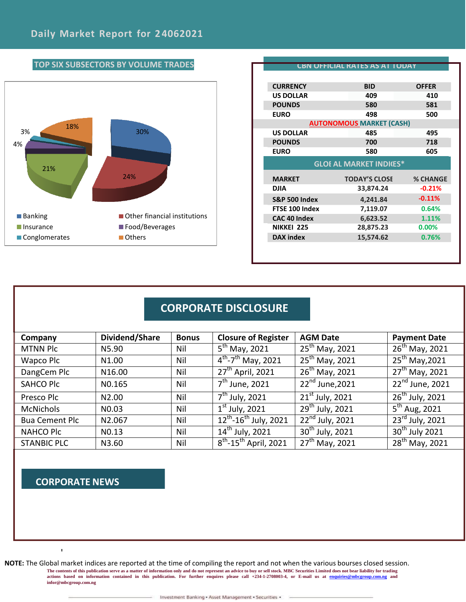

|                                | CBN OFFICIAL RATES AS AT TODAY  |                 |  |
|--------------------------------|---------------------------------|-----------------|--|
| <b>CURRENCY</b>                | <b>BID</b>                      | <b>OFFER</b>    |  |
| <b>US DOLLAR</b>               | 409                             | 410             |  |
| <b>POUNDS</b>                  | 580                             | 581             |  |
| <b>EURO</b>                    | 498                             | 500             |  |
|                                | <b>AUTONOMOUS MARKET (CASH)</b> |                 |  |
| <b>US DOLLAR</b>               | 485                             | 495             |  |
| <b>POUNDS</b>                  | 700                             | 718             |  |
| <b>EURO</b>                    | 580                             | 605             |  |
| <b>GLOI AL MARKET INDICES*</b> |                                 |                 |  |
| <b>MARKET</b>                  | <b>TODAY'S CLOSE</b>            | <b>% CHANGE</b> |  |
| DJIA                           | 33,874.24                       | $-0.21%$        |  |
| <b>S&amp;P 500 Index</b>       | 4,241.84                        | $-0.11%$        |  |
| FTSE 100 Index                 | 7,119.07                        | 0.64%           |  |
| <b>CAC 40 Index</b>            | 6,623.52                        | 1.11%           |  |
|                                | 28,875.23                       | $0.00\%$        |  |
| <b>NIKKEI 225</b>              |                                 |                 |  |

## **CORPORATE DISCLOSURE**

| Company               | Dividend/Share    | <b>Bonus</b> | <b>Closure of Register</b>             | <b>AGM Date</b>                        | <b>Payment Date</b>                      |
|-----------------------|-------------------|--------------|----------------------------------------|----------------------------------------|------------------------------------------|
| <b>MTNN Plc</b>       | N5.90             | Nil          | $5^{\text{th}}$ May, 2021              | $25th$ May, 2021                       | $26^{th}$ May, 2021                      |
| Wapco Plc             | N1.00             | Nil          | $4^{th}$ -7 <sup>th</sup> May, 2021    | $25^{th}$ May, 2021                    | $25th$ May, 2021                         |
| DangCem Plc           | N16.00            | Nil          | 27 <sup>th</sup> April, 2021           | $26^{th}$ May, 2021                    | $27^{th}$ May, 2021                      |
| <b>SAHCO Plc</b>      | NO.165            | Nil          | 7 <sup>th</sup> June, 2021             | $22^{nd}$ June, 2021                   | 22 <sup>nd</sup> June, 2021              |
| Presco Plc            | N <sub>2.00</sub> | Nil          | 7 <sup>th</sup> July, 2021             | $21st$ July, 2021                      | $26th$ July, 2021                        |
| <b>McNichols</b>      | N <sub>0.03</sub> | Nil          | $1st$ July, 2021                       | $29th$ July, 2021                      | $\overline{5}^{\text{th}}$ Aug, 2021     |
| <b>Bua Cement Plc</b> | N2.067            | Nil          | $12^{th}$ -16 <sup>th</sup> July, 2021 | $\overline{22}^{\text{nd}}$ July, 2021 | $\overline{23}$ <sup>rd</sup> July, 2021 |
| <b>NAHCO Plc</b>      | N <sub>0.13</sub> | Nil          | $\overline{14}^{\text{th}}$ July, 2021 | $30th$ July, 2021                      | $30th$ July 2021                         |
| <b>STANBIC PLC</b>    | N3.60             | Nil          | $8^{th}$ -15 <sup>th</sup> April, 2021 | $27^{th}$ May, 2021                    | $28^{th}$ May, 2021                      |

### **CORPORATE NEWS**

 $\mathbf{I}$ 

**NOTE:** The Global market indices are reported at the time of compiling the report and not when the various bourses closed session. The contents of this publication serve as a matter of information only and do not represent an advice to buy or sell stock. MBC Securities Limited does not bear liability for trading<br>actions based on information contained **[infor@mbcgroup.com.ng](mailto:infor@mbcgroup.com.ng)**